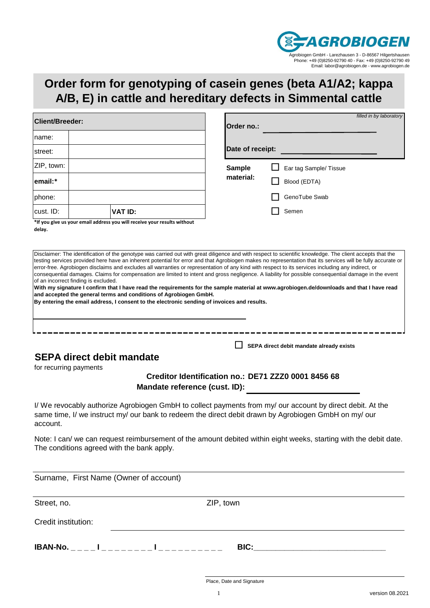

## **Order form for genotyping of casein genes (beta A1/A2; kappa A/B, E) in cattle and hereditary defects in Simmental cattle**

| <b>Client/Breeder:</b> |                                                                          | filled in by laboratory<br>Order no.: |                        |  |  |  |  |
|------------------------|--------------------------------------------------------------------------|---------------------------------------|------------------------|--|--|--|--|
| name:                  |                                                                          |                                       |                        |  |  |  |  |
| street:                |                                                                          | Date of receipt:                      |                        |  |  |  |  |
| ZIP, town:             |                                                                          | <b>Sample</b>                         | Ear tag Sample/ Tissue |  |  |  |  |
| lemail:*               |                                                                          | material:                             | Blood (EDTA)           |  |  |  |  |
| phone:                 |                                                                          |                                       | GenoTube Swab          |  |  |  |  |
| cust. ID:              | VAT ID:                                                                  |                                       | Semen                  |  |  |  |  |
|                        | the voluming us your email address you will receive your results without |                                       |                        |  |  |  |  |

**\*If you give us your email address you will receive your results without delay.**

Disclaimer: The identification of the genotype was carried out with great diligence and with respect to scientific knowledge. The client accepts that the testing services provided here have an inherent potential for error and that Agrobiogen makes no representation that its services will be fully accurate or error-free. Agrobiogen disclaims and excludes all warranties or representation of any kind with respect to its services including any indirect, or consequential damages. Claims for compensation are limited to intent and gross negligence. A liability for possible consequential damage in the event of an incorrect finding is excluded. **With my signature I confirm that I have read the requirements for the sample material at www.agrobiogen.de/downloads and that I have read and accepted the general terms and conditions of Agrobiogen GmbH. By entering the email address, I consent to the electronic sending of invoices and results.**

## **SEPA direct debit mandate**

for recurring payments

## **DE71 ZZZ0 0001 8456 68 Creditor Identification no.: Mandate reference (cust. ID):**

**SEPA direct debit mandate already exists**

I/ We revocably authorize Agrobiogen GmbH to collect payments from my/ our account by direct debit. At the same time, I/ we instruct my/ our bank to redeem the direct debit drawn by Agrobiogen GmbH on my/ our account.

Note: I can/ we can request reimbursement of the amount debited within eight weeks, starting with the debit date. The conditions agreed with the bank apply.

Surname, First Name (Owner of account)

Street, no.

ZIP, town

Credit institution:

**IBAN-No. \_ \_ \_ \_ I \_ \_ \_ \_ \_ \_ \_ \_ I \_ \_ \_ \_ \_ \_ \_ \_ \_ \_ BIC:\_\_\_\_\_\_\_\_\_\_\_\_\_\_\_\_\_\_\_\_\_\_\_\_\_\_\_\_\_\_**

Place, Date and Signature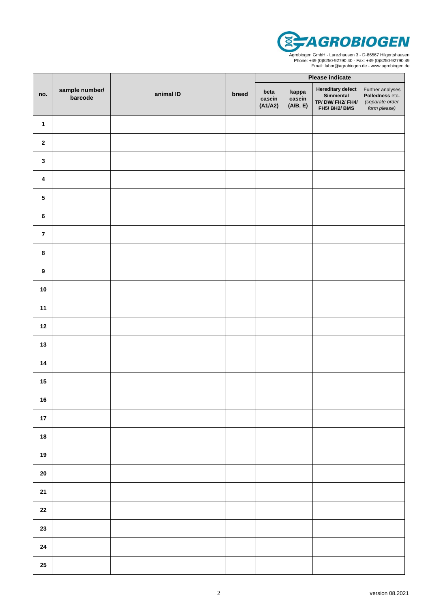

Agrobiogen GmbH - Larezhausen 3 - D-86567 Hilgertshausen Phone: +49 (0)8250-92790 40 - Fax: +49 (0)8250-92790 49 Email: labor@agrobiogen.de - www.agrobiogen.de

|                  | sample number/<br>barcode | animal ID | breed | Please indicate           |                             |                                                                   |                                                                               |
|------------------|---------------------------|-----------|-------|---------------------------|-----------------------------|-------------------------------------------------------------------|-------------------------------------------------------------------------------|
| no.              |                           |           |       | beta<br>casein<br>(A1/A2) | kappa<br>casein<br>(A/B, E) | Hereditary defect<br>Simmental<br>TP/DW/FH2/FH4/<br>FH5/ BH2/ BMS | Further analyses<br><b>Polledness</b> etc.<br>(separate order<br>form please) |
| $\mathbf{1}$     |                           |           |       |                           |                             |                                                                   |                                                                               |
| $\mathbf{2}$     |                           |           |       |                           |                             |                                                                   |                                                                               |
| $\mathbf 3$      |                           |           |       |                           |                             |                                                                   |                                                                               |
| $\pmb{4}$        |                           |           |       |                           |                             |                                                                   |                                                                               |
| ${\bf 5}$        |                           |           |       |                           |                             |                                                                   |                                                                               |
| $\bf 6$          |                           |           |       |                           |                             |                                                                   |                                                                               |
| $\overline{7}$   |                           |           |       |                           |                             |                                                                   |                                                                               |
| $\pmb{8}$        |                           |           |       |                           |                             |                                                                   |                                                                               |
| $\boldsymbol{9}$ |                           |           |       |                           |                             |                                                                   |                                                                               |
| $10$             |                           |           |       |                           |                             |                                                                   |                                                                               |
| 11               |                           |           |       |                           |                             |                                                                   |                                                                               |
| $12$             |                           |           |       |                           |                             |                                                                   |                                                                               |
| $13$             |                           |           |       |                           |                             |                                                                   |                                                                               |
| 14               |                           |           |       |                           |                             |                                                                   |                                                                               |
| 15               |                           |           |       |                           |                             |                                                                   |                                                                               |
| 16               |                           |           |       |                           |                             |                                                                   |                                                                               |
| $17\,$           |                           |           |       |                           |                             |                                                                   |                                                                               |
| 18               |                           |           |       |                           |                             |                                                                   |                                                                               |
| $19$             |                           |           |       |                           |                             |                                                                   |                                                                               |
| ${\bf 20}$       |                           |           |       |                           |                             |                                                                   |                                                                               |
| ${\bf 21}$       |                           |           |       |                           |                             |                                                                   |                                                                               |
| ${\bf 22}$       |                           |           |       |                           |                             |                                                                   |                                                                               |
| 23               |                           |           |       |                           |                             |                                                                   |                                                                               |
| ${\bf 24}$       |                           |           |       |                           |                             |                                                                   |                                                                               |
| ${\bf 25}$       |                           |           |       |                           |                             |                                                                   |                                                                               |